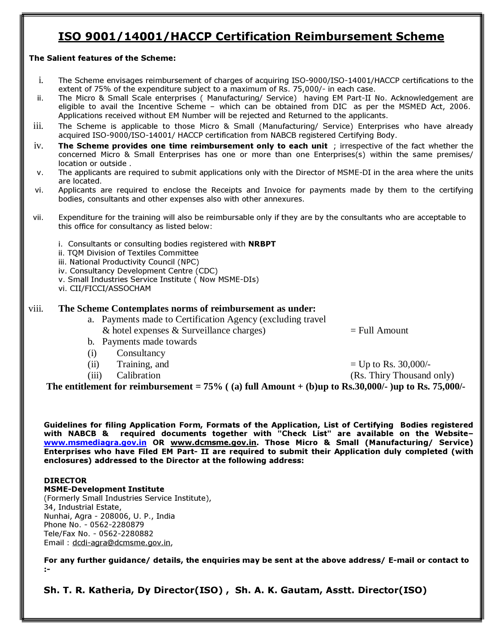### ISO 9001/14001/HACCP Certification Reimbursement Scheme

#### The Salient features of the Scheme:

- i. The Scheme envisages reimbursement of charges of acquiring ISO-9000/ISO-14001/HACCP certifications to the extent of 75% of the expenditure subject to a maximum of Rs. 75,000/- in each case.
- ii. The Micro & Small Scale enterprises ( Manufacturing/ Service) having EM Part-II No. Acknowledgement are eligible to avail the Incentive Scheme – which can be obtained from DIC as per the MSMED Act, 2006. Applications received without EM Number will be rejected and Returned to the applicants.
- iii. The Scheme is applicable to those Micro & Small (Manufacturing/ Service) Enterprises who have already acquired ISO-9000/ISO-14001/ HACCP certification from NABCB registered Certifying Body.
- $iv.$  The Scheme provides one time reimbursement only to each unit ; irrespective of the fact whether the concerned Micro & Small Enterprises has one or more than one Enterprises(s) within the same premises/ location or outside .
- v. The applicants are required to submit applications only with the Director of MSME-DI in the area where the units are located.
- vi. Applicants are required to enclose the Receipts and Invoice for payments made by them to the certifying bodies, consultants and other expenses also with other annexures.
- vii. Expenditure for the training will also be reimbursable only if they are by the consultants who are acceptable to this office for consultancy as listed below:
	- i. Consultants or consulting bodies registered with NRBPT
	- ii. TQM Division of Textiles Committee
	- iii. National Productivity Council (NPC)
	- iv. Consultancy Development Centre (CDC)
	- v. Small Industries Service Institute ( Now MSME-DIs)
	- vi. CII/FICCI/ASSOCHAM

### viii. **The Scheme Contemplates norms of reimbursement as under:**

- a. Payments made to Certification Agency (excluding travel & hotel expenses & Surveillance charges)  $=$  Full Amount
- b. Payments made towards
- (i) Consultancy
- (ii) Training, and  $=$  Up to Rs. 30,000/-
- 

(iii) Calibration (Rs. Thiry Thousand only)

The entitlement for reimbursement  $= 75\%$  ((a) full Amount  $+$  (b)up to Rs.30,000/-)up to Rs. 75,000/-

Guidelines for filing Application Form, Formats of the Application, List of Certifying Bodies registered with NABCB & required documents together with "Check List" are available on the Websitewww.msmediagra.gov.in OR www.dcmsme.gov.in. Those Micro & Small (Manufacturing/ Service) Enterprises who have Filed EM Part- II are required to submit their Application duly completed (with enclosures) addressed to the Director at the following address:

### DIRECTOR

MSME-Development Institute (Formerly Small Industries Service Institute), 34, Industrial Estate, Nunhai, Agra - 208006, U. P., India Phone No. - 0562-2280879 Tele/Fax No. - 0562-2280882 Email : dcdi-agra@dcmsme.gov.in,

For any further guidance/ details, the enquiries may be sent at the above address/ E-mail or contact to :-

Sh. T. R. Katheria, Dy Director(ISO) , Sh. A. K. Gautam, Asstt. Director(ISO)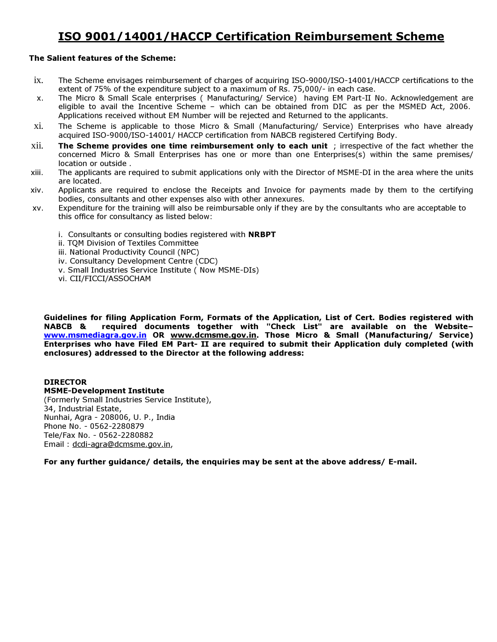### ISO 9001/14001/HACCP Certification Reimbursement Scheme

#### The Salient features of the Scheme:

- ix. The Scheme envisages reimbursement of charges of acquiring ISO-9000/ISO-14001/HACCP certifications to the extent of 75% of the expenditure subject to a maximum of Rs. 75,000/- in each case.
- x. The Micro & Small Scale enterprises ( Manufacturing/ Service) having EM Part-II No. Acknowledgement are eligible to avail the Incentive Scheme – which can be obtained from DIC as per the MSMED Act, 2006. Applications received without EM Number will be rejected and Returned to the applicants.
- xi. The Scheme is applicable to those Micro & Small (Manufacturing/ Service) Enterprises who have already acquired ISO-9000/ISO-14001/ HACCP certification from NABCB registered Certifying Body.
- $xii.$  The Scheme provides one time reimbursement only to each unit ; irrespective of the fact whether the concerned Micro & Small Enterprises has one or more than one Enterprises(s) within the same premises/ location or outside .
- xiii. The applicants are required to submit applications only with the Director of MSME-DI in the area where the units are located.
- xiv. Applicants are required to enclose the Receipts and Invoice for payments made by them to the certifying bodies, consultants and other expenses also with other annexures.
- xv. Expenditure for the training will also be reimbursable only if they are by the consultants who are acceptable to this office for consultancy as listed below:
	- i. Consultants or consulting bodies registered with **NRBPT**
	- ii. TQM Division of Textiles Committee
	- iii. National Productivity Council (NPC)
	- iv. Consultancy Development Centre (CDC)
	- v. Small Industries Service Institute ( Now MSME-DIs)
	- vi. CII/FICCI/ASSOCHAM

Guidelines for filing Application Form, Formats of the Application, List of Cert. Bodies registered with NABCB<br>NABCB & required documents together with "Check List" are available on the Websiterequired documents together with "Check List" are available on the Websitewww.msmediagra.gov.in OR www.dcmsme.gov.in. Those Micro & Small (Manufacturing/ Service) Enterprises who have Filed EM Part- II are required to submit their Application duly completed (with enclosures) addressed to the Director at the following address:

#### DIRECTOR

MSME-Development Institute (Formerly Small Industries Service Institute), 34, Industrial Estate, Nunhai, Agra - 208006, U. P., India Phone No. - 0562-2280879 Tele/Fax No. - 0562-2280882 Email : dcdi-agra@dcmsme.gov.in,

For any further guidance/ details, the enquiries may be sent at the above address/ E-mail.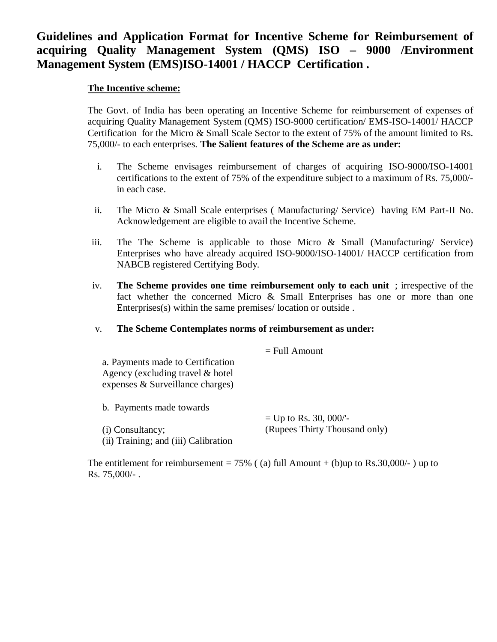### **Guidelines and Application Format for Incentive Scheme for Reimbursement of acquiring Quality Management System (QMS) ISO – 9000 /Environment Management System (EMS)ISO-14001 / HACCP Certification .**

### **The Incentive scheme:**

The Govt. of India has been operating an Incentive Scheme for reimbursement of expenses of acquiring Quality Management System (QMS) ISO-9000 certification/ EMS-ISO-14001/ HACCP Certification for the Micro & Small Scale Sector to the extent of 75% of the amount limited to Rs. 75,000/- to each enterprises. **The Salient features of the Scheme are as under:**

- i. The Scheme envisages reimbursement of charges of acquiring ISO-9000/ISO-14001 certifications to the extent of 75% of the expenditure subject to a maximum of Rs. 75,000/ in each case.
- ii. The Micro & Small Scale enterprises ( Manufacturing/ Service) having EM Part-II No. Acknowledgement are eligible to avail the Incentive Scheme.
- iii. The The Scheme is applicable to those Micro & Small (Manufacturing/ Service) Enterprises who have already acquired ISO-9000/ISO-14001/ HACCP certification from NABCB registered Certifying Body.
- iv. **The Scheme provides one time reimbursement only to each unit** ; irrespective of the fact whether the concerned Micro & Small Enterprises has one or more than one Enterprises(s) within the same premises/ location or outside .

### v. **The Scheme Contemplates norms of reimbursement as under:**

|                                      | $=$ Full Amount               |
|--------------------------------------|-------------------------------|
| a. Payments made to Certification    |                               |
| Agency (excluding travel $&$ hotel   |                               |
| expenses & Surveillance charges)     |                               |
| b. Payments made towards             |                               |
|                                      | $=$ Up to Rs. 30, 000/'-      |
| (i) Consultancy;                     | (Rupees Thirty Thousand only) |
| (ii) Training; and (iii) Calibration |                               |

The entitlement for reimbursement =  $75\%$  ((a) full Amount + (b)up to Rs.30,000/-) up to Rs. 75,000/- .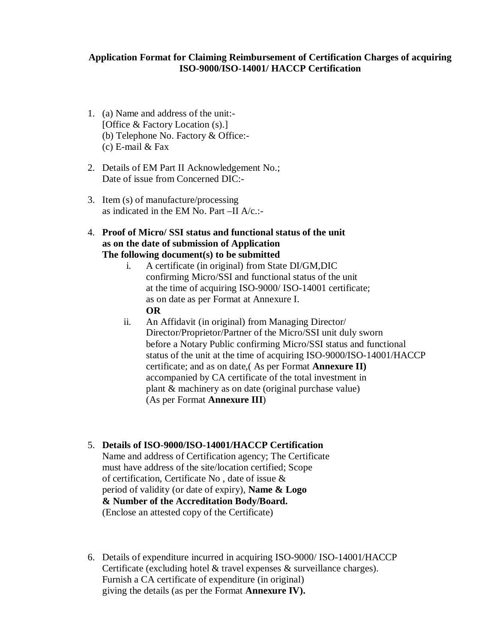### **Application Format for Claiming Reimbursement of Certification Charges of acquiring ISO-9000/ISO-14001/ HACCP Certification**

- 1. (a) Name and address of the unit:- [Office & Factory Location (s).] (b) Telephone No. Factory & Office:- (c) E-mail & Fax
- 2. Details of EM Part II Acknowledgement No.; Date of issue from Concerned DIC:-
- 3. Item (s) of manufacture/processing as indicated in the EM No. Part –II A/c.:-
- 4. **Proof of Micro/ SSI status and functional status of the unit as on the date of submission of Application The following document(s) to be submitted** 
	- i. A certificate (in original) from State DI/GM,DIC confirming Micro/SSI and functional status of the unit at the time of acquiring ISO-9000/ ISO-14001 certificate; as on date as per Format at Annexure I. **OR**
	- ii. An Affidavit (in original) from Managing Director/ Director/Proprietor/Partner of the Micro/SSI unit duly sworn before a Notary Public confirming Micro/SSI status and functional status of the unit at the time of acquiring ISO-9000/ISO-14001/HACCP certificate; and as on date,( As per Format **Annexure II)** accompanied by CA certificate of the total investment in plant & machinery as on date (original purchase value) (As per Format **Annexure III**)

### 5. **Details of ISO-9000/ISO-14001/HACCP Certification**

- Name and address of Certification agency; The Certificate must have address of the site/location certified; Scope of certification, Certificate No , date of issue & period of validity (or date of expiry), **Name & Logo & Number of the Accreditation Body/Board.** (Enclose an attested copy of the Certificate)
- 6. Details of expenditure incurred in acquiring ISO-9000/ ISO-14001/HACCP Certificate (excluding hotel & travel expenses & surveillance charges). Furnish a CA certificate of expenditure (in original) giving the details (as per the Format **Annexure IV).**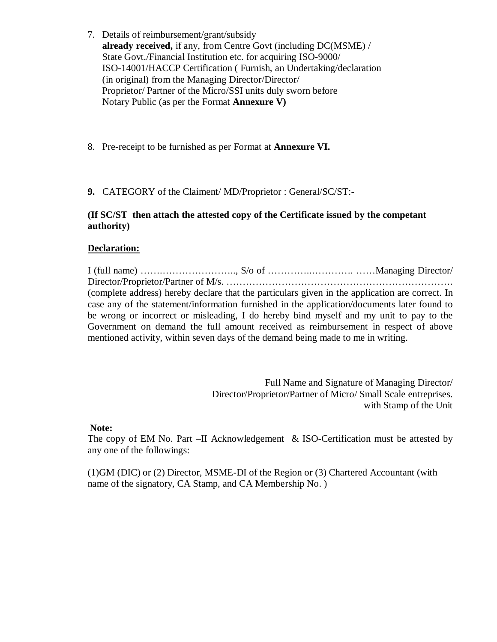- 7. Details of reimbursement/grant/subsidy **already received,** if any, from Centre Govt (including DC(MSME) / State Govt./Financial Institution etc. for acquiring ISO-9000/ ISO-14001/HACCP Certification ( Furnish, an Undertaking/declaration (in original) from the Managing Director/Director/ Proprietor/ Partner of the Micro/SSI units duly sworn before Notary Public (as per the Format **Annexure V)**
- 8. Pre-receipt to be furnished as per Format at **Annexure VI.**
- **9.** CATEGORY of the Claiment/ MD/Proprietor : General/SC/ST:-

### **(If SC/ST then attach the attested copy of the Certificate issued by the competant authority)**

### **Declaration:**

I (full name) …….………………….., S/o of …………..…………. ……Managing Director/ Director/Proprietor/Partner of M/s. ……………………………………………………………. (complete address) hereby declare that the particulars given in the application are correct. In case any of the statement/information furnished in the application/documents later found to be wrong or incorrect or misleading, I do hereby bind myself and my unit to pay to the Government on demand the full amount received as reimbursement in respect of above mentioned activity, within seven days of the demand being made to me in writing.

> Full Name and Signature of Managing Director/ Director/Proprietor/Partner of Micro/ Small Scale entreprises. with Stamp of the Unit

### **Note:**

The copy of EM No. Part  $-II$  Acknowledgement & ISO-Certification must be attested by any one of the followings:

(1)GM (DIC) or (2) Director, MSME-DI of the Region or (3) Chartered Accountant (with name of the signatory, CA Stamp, and CA Membership No. )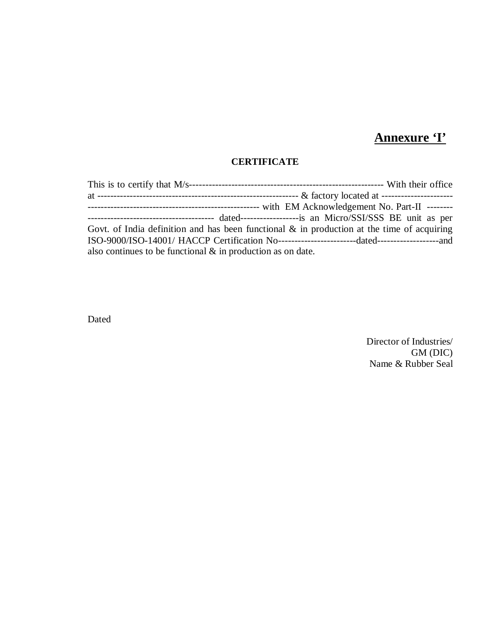# **Annexure 'I'**

### **CERTIFICATE**

| ------------------------------------- dated----------------------is an Micro/SSI/SSS BE unit as per |  |
|-----------------------------------------------------------------------------------------------------|--|
| Govt. of India definition and has been functional $\&$ in production at the time of acquiring       |  |
|                                                                                                     |  |
| also continues to be functional $\&$ in production as on date.                                      |  |

Dated

Director of Industries/ GM (DIC) Name & Rubber Seal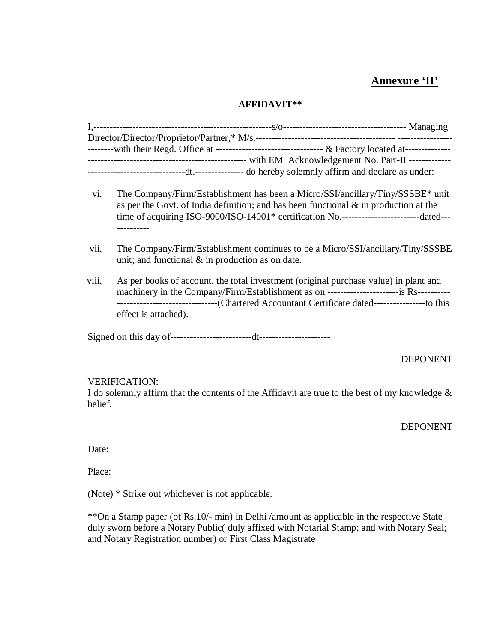### **Annexure 'II'**

### **AFFIDAVIT\*\***

- vi. The Company/Firm/Establishment has been a Micro/SSI/ancillary/Tiny/SSSBE\* unit as per the Govt. of India definition; and has been functional  $\&$  in production at the time of acquiring ISO-9000/ISO-14001\* certification No.------------------------dated--- ----------
- vii. The Company/Firm/Establishment continues to be a Micro/SSI/ancillary/Tiny/SSSBE unit; and functional  $\&$  in production as on date.
- viii. As per books of account, the total investment (original purchase value) in plant and machinery in the Company/Firm/Establishment as on ----------------------is Rs---------- -------------------------------(Chartered Accountant Certificate dated----------------to this effect is attached).

Signed on this day of-------------------------dt----------------------

### DEPONENT

### VERIFICATION:

I do solemnly affirm that the contents of the Affidavit are true to the best of my knowledge  $\&$ belief.

### DEPONENT

Date:

Place:

(Note) \* Strike out whichever is not applicable.

\*\*On a Stamp paper (of Rs.10/- min) in Delhi /amount as applicable in the respective State duly sworn before a Notary Public( duly affixed with Notarial Stamp; and with Notary Seal; and Notary Registration number) or First Class Magistrate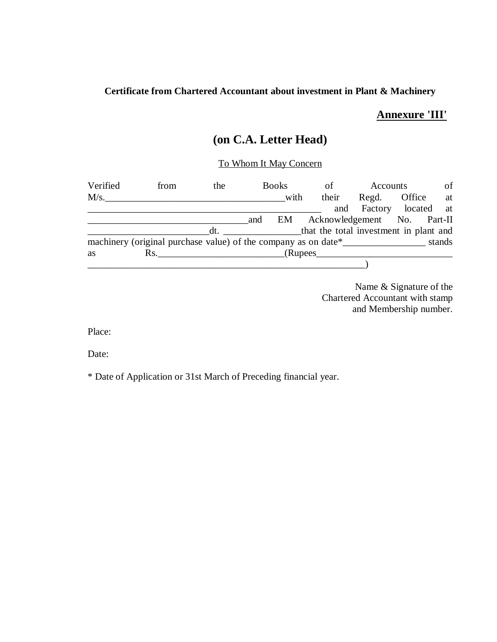### **Certificate from Chartered Accountant about investment in Plant & Machinery**

### **Annexure 'III'**

### **(on C.A. Letter Head)**

### To Whom It May Concern

| Verified | from                                                                              | the |     | <b>Books</b> | of                          | Accounts |                        | of     |
|----------|-----------------------------------------------------------------------------------|-----|-----|--------------|-----------------------------|----------|------------------------|--------|
| M/s.     |                                                                                   |     |     | with         | their                       | Regd.    | Office                 | at     |
|          |                                                                                   |     |     |              |                             |          | and Factory located at |        |
|          |                                                                                   |     | and | EM           | Acknowledgement No. Part-II |          |                        |        |
|          |                                                                                   |     |     |              |                             |          |                        |        |
|          | machinery (original purchase value) of the company as on date*___________________ |     |     |              |                             |          |                        | stands |
| as       | $\mathbf{Rs.}$                                                                    |     |     |              |                             |          |                        |        |
|          |                                                                                   |     |     |              |                             |          |                        |        |

Name & Signature of the Chartered Accountant with stamp and Membership number.

Place:

Date:

\* Date of Application or 31st March of Preceding financial year.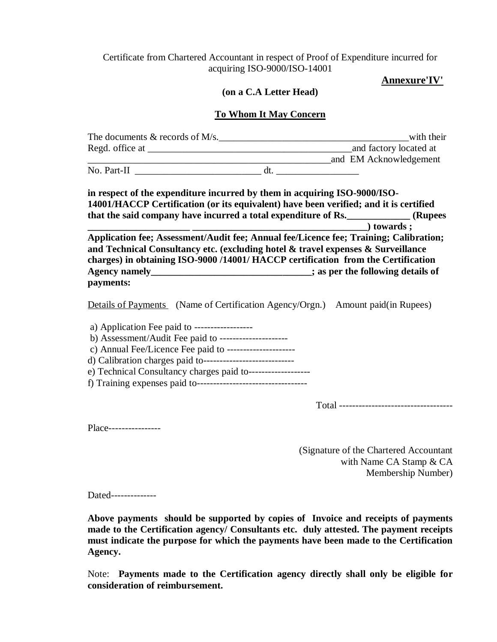### Certificate from Chartered Accountant in respect of Proof of Expenditure incurred for acquiring ISO-9000/ISO-14001

### **Annexure'IV'**

### **(on a C.A Letter Head)**

### **To Whom It May Concern**

| The documents $&$ records of M/s.                                                                                                                                  |     | with their                                                                                   |
|--------------------------------------------------------------------------------------------------------------------------------------------------------------------|-----|----------------------------------------------------------------------------------------------|
|                                                                                                                                                                    |     | and factory located at                                                                       |
|                                                                                                                                                                    |     | and EM Acknowledgement                                                                       |
| No. Part-II                                                                                                                                                        | dt. |                                                                                              |
| in respect of the expenditure incurred by them in acquiring ISO-9000/ISO-<br>14001/HACCP Certification (or its equivalent) have been verified; and it is certified |     | that the said company have incurred a total expenditure of Rs. (Rupees<br>$\bullet$ towards: |
| Application fee; Assessment/Audit fee; Annual fee/Licence fee; Training; Calibration;                                                                              |     |                                                                                              |
| and Technical Consultancy etc. (excluding hotel $\&$ travel expenses $\&$ Surveillance                                                                             |     |                                                                                              |

**and Technical Consultancy etc. (excluding hotel & travel expenses & Surveillance charges) in obtaining ISO-9000 /14001/ HACCP certification from the Certification Agency namely\_\_\_\_\_\_\_\_\_\_\_\_\_\_\_\_\_\_\_\_\_\_\_\_\_\_\_\_\_\_\_\_\_; as per the following details of payments:**

Details of Payments (Name of Certification Agency/Orgn.) Amount paid(in Rupees)

 a) Application Fee paid to ----------------- b) Assessment/Audit Fee paid to -------------------- c) Annual Fee/Licence Fee paid to -------------------- d) Calibration charges paid to--------------------------- e) Technical Consultancy charges paid to------------------ f) Training expenses paid to----------------------------------

Total -----------------------------------

Place----------------

(Signature of the Chartered Accountant with Name CA Stamp & CA Membership Number)

Dated--------------

**Above payments should be supported by copies of Invoice and receipts of payments made to the Certification agency/ Consultants etc. duly attested. The payment receipts must indicate the purpose for which the payments have been made to the Certification Agency.** 

Note: **Payments made to the Certification agency directly shall only be eligible for consideration of reimbursement.**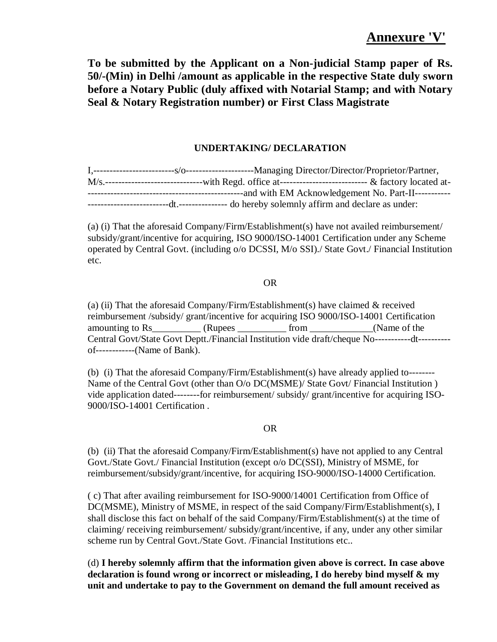**To be submitted by the Applicant on a Non-judicial Stamp paper of Rs. 50/-(Min) in Delhi /amount as applicable in the respective State duly sworn before a Notary Public (duly affixed with Notarial Stamp; and with Notary Seal & Notary Registration number) or First Class Magistrate** 

### **UNDERTAKING/ DECLARATION**

|                                                                        | -----and with EM Acknowledgement No. Part-II----------- |
|------------------------------------------------------------------------|---------------------------------------------------------|
| ---dt.---------------- do hereby solemnly affirm and declare as under: |                                                         |

(a) (i) That the aforesaid Company/Firm/Establishment(s) have not availed reimbursement/ subsidy/grant/incentive for acquiring, ISO 9000/ISO-14001 Certification under any Scheme operated by Central Govt. (including o/o DCSSI, M/o SSI)./ State Govt./ Financial Institution etc.

### OR

(a) (ii) That the aforesaid Company/Firm/Establishment(s) have claimed  $&$  received reimbursement /subsidy/ grant/incentive for acquiring ISO 9000/ISO-14001 Certification amounting to Rs German (Rupees From The Collection Community of the Collection Community of the Collection Community of the Collection Community of the Collection Community of the Collection Community of the Collection Com Central Govt/State Govt Deptt./Financial Institution vide draft/cheque No-----------dt--------- of------------(Name of Bank).

(b) (i) That the aforesaid Company/Firm/Establishment(s) have already applied to-------- Name of the Central Govt (other than O/o DC(MSME)/ State Govt/ Financial Institution ) vide application dated--------for reimbursement/ subsidy/ grant/incentive for acquiring ISO-9000/ISO-14001 Certification .

### OR

(b) (ii) That the aforesaid Company/Firm/Establishment(s) have not applied to any Central Govt./State Govt./ Financial Institution (except o/o DC(SSI), Ministry of MSME, for reimbursement/subsidy/grant/incentive, for acquiring ISO-9000/ISO-14000 Certification.

( c) That after availing reimbursement for ISO-9000/14001 Certification from Office of DC(MSME), Ministry of MSME, in respect of the said Company/Firm/Establishment(s), I shall disclose this fact on behalf of the said Company/Firm/Establishment(s) at the time of claiming/ receiving reimbursement/ subsidy/grant/incentive, if any, under any other similar scheme run by Central Govt./State Govt. /Financial Institutions etc..

(d) **I hereby solemnly affirm that the information given above is correct. In case above declaration is found wrong or incorrect or misleading, I do hereby bind myself & my unit and undertake to pay to the Government on demand the full amount received as**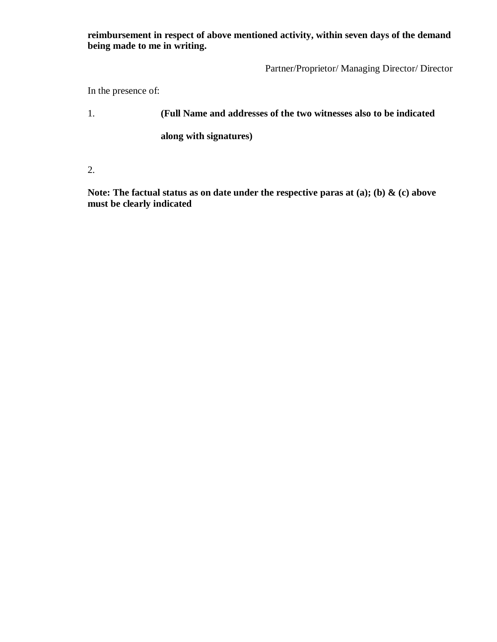**reimbursement in respect of above mentioned activity, within seven days of the demand being made to me in writing.** 

Partner/Proprietor/ Managing Director/ Director

In the presence of:

1. **(Full Name and addresses of the two witnesses also to be indicated** 

 **along with signatures)** 

2.

**Note: The factual status as on date under the respective paras at (a); (b) & (c) above must be clearly indicated**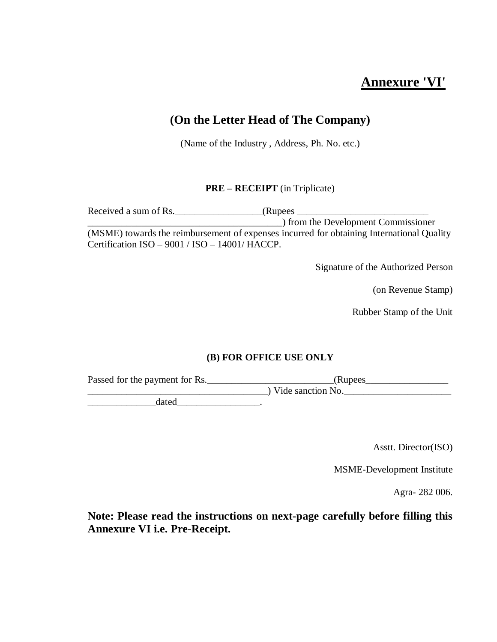### **Annexure 'VI'**

### **(On the Letter Head of The Company)**

(Name of the Industry , Address, Ph. No. etc.)

### **PRE – RECEIPT** (in Triplicate)

Received a sum of Rs.\_\_\_\_\_\_\_\_\_\_\_\_\_\_\_\_\_\_(Rupees \_\_\_\_\_\_\_\_\_\_\_\_\_\_\_\_\_\_\_\_\_\_\_\_\_\_\_ \_\_\_\_\_\_\_\_\_\_\_\_\_\_\_\_\_\_\_\_\_\_\_\_\_\_\_\_\_\_\_\_\_\_\_\_\_\_\_\_) from the Development Commissioner (MSME) towards the reimbursement of expenses incurred for obtaining International Quality Certification ISO – 9001 / ISO – 14001/ HACCP.

Signature of the Authorized Person

(on Revenue Stamp)

Rubber Stamp of the Unit

### **(B) FOR OFFICE USE ONLY**

Passed for the payment for Rs.\_\_\_\_\_\_\_\_\_\_\_\_\_\_\_\_\_\_\_\_\_\_\_\_\_\_(Rupees\_\_\_\_\_\_\_\_\_\_\_\_\_\_\_\_\_  $\overline{\smash{\big)}\text{ Video action No.}}$ 

 $\qquad \qquad \text{dated} \qquad$ 

Asstt. Director(ISO)

MSME-Development Institute

Agra- 282 006.

**Note: Please read the instructions on next-page carefully before filling this Annexure VI i.e. Pre-Receipt.**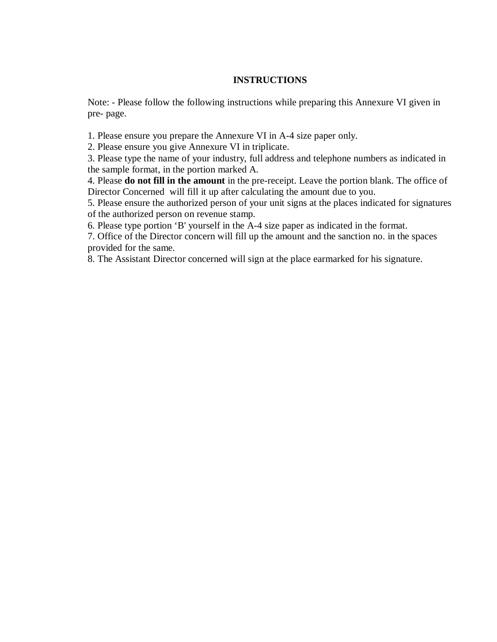### **INSTRUCTIONS**

Note: - Please follow the following instructions while preparing this Annexure VI given in pre- page.

1. Please ensure you prepare the Annexure VI in A-4 size paper only.

2. Please ensure you give Annexure VI in triplicate.

3. Please type the name of your industry, full address and telephone numbers as indicated in the sample format, in the portion marked A.

4. Please **do not fill in the amount** in the pre-receipt. Leave the portion blank. The office of Director Concerned will fill it up after calculating the amount due to you.

5. Please ensure the authorized person of your unit signs at the places indicated for signatures of the authorized person on revenue stamp.

6. Please type portion 'B' yourself in the A-4 size paper as indicated in the format.

7. Office of the Director concern will fill up the amount and the sanction no. in the spaces provided for the same.

8. The Assistant Director concerned will sign at the place earmarked for his signature.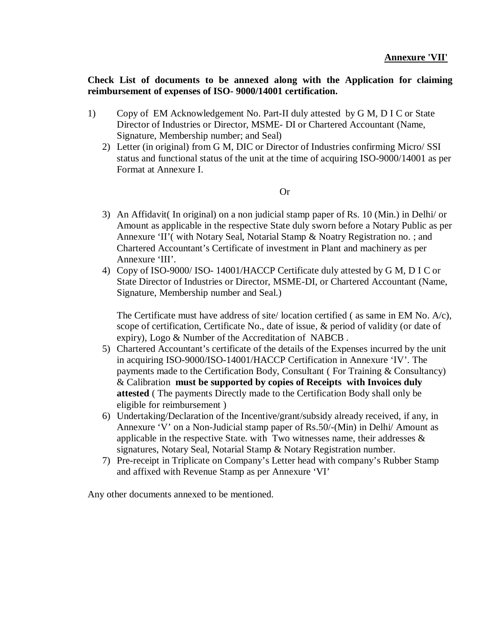### **Check List of documents to be annexed along with the Application for claiming reimbursement of expenses of ISO- 9000/14001 certification.**

- 1) Copy of EM Acknowledgement No. Part-II duly attested by G M, D I C or State Director of Industries or Director, MSME- DI or Chartered Accountant (Name, Signature, Membership number; and Seal)
	- 2) Letter (in original) from G M, DIC or Director of Industries confirming Micro/ SSI status and functional status of the unit at the time of acquiring ISO-9000/14001 as per Format at Annexure I.

### Or

- 3) An Affidavit( In original) on a non judicial stamp paper of Rs. 10 (Min.) in Delhi/ or Amount as applicable in the respective State duly sworn before a Notary Public as per Annexure 'II'( with Notary Seal, Notarial Stamp & Noatry Registration no. ; and Chartered Accountant's Certificate of investment in Plant and machinery as per Annexure 'III'.
- 4) Copy of ISO-9000/ ISO- 14001/HACCP Certificate duly attested by G M, D I C or State Director of Industries or Director, MSME-DI, or Chartered Accountant (Name, Signature, Membership number and Seal.)

The Certificate must have address of site/ location certified ( as same in EM No. A/c), scope of certification, Certificate No., date of issue, & period of validity (or date of expiry), Logo & Number of the Accreditation of NABCB .

- 5) Chartered Accountant's certificate of the details of the Expenses incurred by the unit in acquiring ISO-9000/ISO-14001/HACCP Certification in Annexure 'IV'. The payments made to the Certification Body, Consultant ( For Training & Consultancy) & Calibration **must be supported by copies of Receipts with Invoices duly attested** ( The payments Directly made to the Certification Body shall only be eligible for reimbursement )
- 6) Undertaking/Declaration of the Incentive/grant/subsidy already received, if any, in Annexure 'V' on a Non-Judicial stamp paper of Rs.50/-(Min) in Delhi/ Amount as applicable in the respective State. with Two witnesses name, their addresses  $\&$ signatures, Notary Seal, Notarial Stamp & Notary Registration number.
- 7) Pre-receipt in Triplicate on Company's Letter head with company's Rubber Stamp and affixed with Revenue Stamp as per Annexure 'VI'

Any other documents annexed to be mentioned.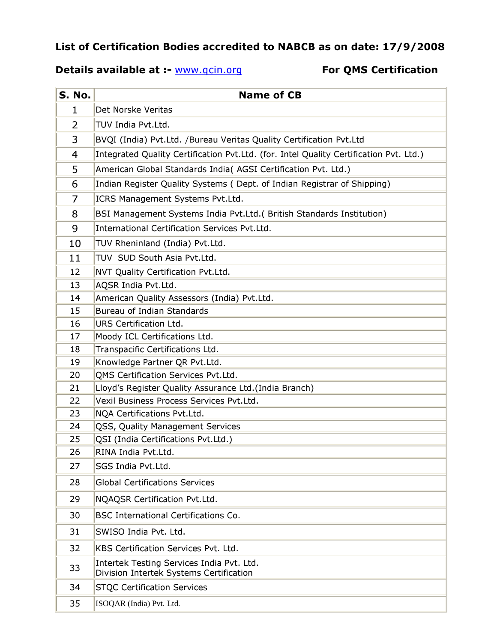## List of Certification Bodies accredited to NABCB as on date: 17/9/2008

### Details available at :- www.qcin.org For QMS Certification

| S. No.         | <b>Name of CB</b>                                                                      |  |  |
|----------------|----------------------------------------------------------------------------------------|--|--|
| 1              | Det Norske Veritas                                                                     |  |  |
| 2              | TUV India Pvt.Ltd.                                                                     |  |  |
| 3              | BVQI (India) Pvt.Ltd. /Bureau Veritas Quality Certification Pvt.Ltd                    |  |  |
| $\overline{4}$ | Integrated Quality Certification Pvt.Ltd. (for. Intel Quality Certification Pvt. Ltd.) |  |  |
| 5              | American Global Standards India( AGSI Certification Pvt. Ltd.)                         |  |  |
| 6              | Indian Register Quality Systems (Dept. of Indian Registrar of Shipping)                |  |  |
| 7              | ICRS Management Systems Pvt.Ltd.                                                       |  |  |
| 8              | BSI Management Systems India Pvt.Ltd. (British Standards Institution)                  |  |  |
| 9              | International Certification Services Pvt.Ltd.                                          |  |  |
| 10             | TUV Rheninland (India) Pvt.Ltd.                                                        |  |  |
| 11             | TUV SUD South Asia Pvt.Ltd.                                                            |  |  |
| 12             | NVT Quality Certification Pvt.Ltd.                                                     |  |  |
| 13             | AQSR India Pvt.Ltd.                                                                    |  |  |
| 14             | American Quality Assessors (India) Pvt.Ltd.                                            |  |  |
| 15             | Bureau of Indian Standards                                                             |  |  |
| 16             | URS Certification Ltd.                                                                 |  |  |
| 17             | Moody ICL Certifications Ltd.                                                          |  |  |
| 18             | Transpacific Certifications Ltd.                                                       |  |  |
| 19             | Knowledge Partner QR Pvt.Ltd.                                                          |  |  |
| 20             | QMS Certification Services Pvt.Ltd.                                                    |  |  |
| 21             | Lloyd's Register Quality Assurance Ltd. (India Branch)                                 |  |  |
| 22             | Vexil Business Process Services Pvt.Ltd.                                               |  |  |
| 23             | NQA Certifications Pvt.Ltd.                                                            |  |  |
| 24             | QSS, Quality Management Services                                                       |  |  |
| 25             | QSI (India Certifications Pvt.Ltd.)                                                    |  |  |
| 26             | RINA India Pvt.Ltd.                                                                    |  |  |
| 27             | SGS India Pvt.Ltd.                                                                     |  |  |
| 28             | <b>Global Certifications Services</b>                                                  |  |  |
| 29             | NQAQSR Certification Pvt.Ltd.                                                          |  |  |
| 30             | <b>BSC International Certifications Co.</b>                                            |  |  |
| 31             | SWISO India Pvt. Ltd.                                                                  |  |  |
| 32             | KBS Certification Services Pvt. Ltd.                                                   |  |  |
| 33             | Intertek Testing Services India Pvt. Ltd.<br>Division Intertek Systems Certification   |  |  |
| 34             | <b>STQC Certification Services</b>                                                     |  |  |
| 35             | ISOQAR (India) Pvt. Ltd.                                                               |  |  |